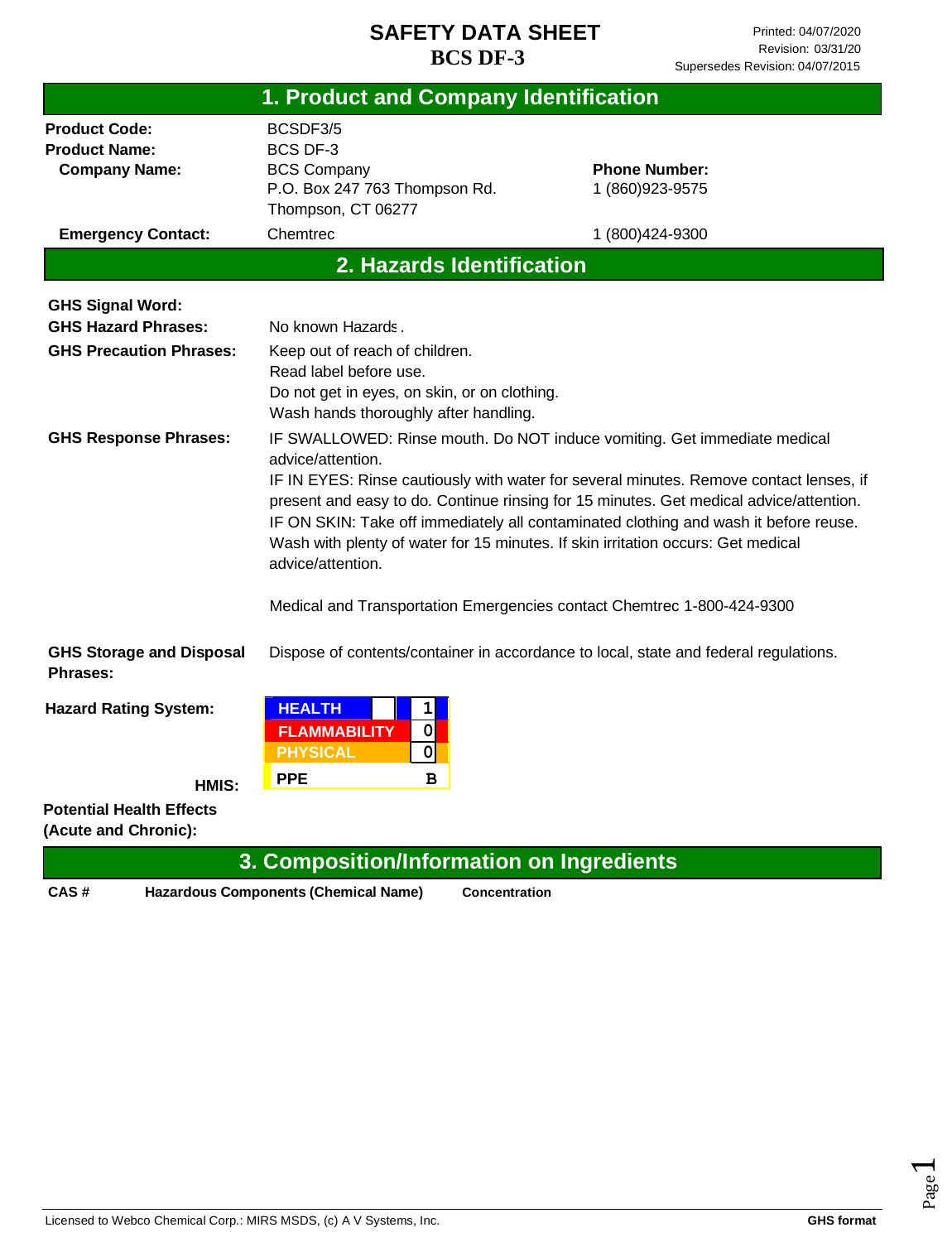| 1. Product and Company Identification                                                   |                                                                                                                                                                                                                                                                                                                                                                                                                                                                                                                                                              |                                                                                      |  |
|-----------------------------------------------------------------------------------------|--------------------------------------------------------------------------------------------------------------------------------------------------------------------------------------------------------------------------------------------------------------------------------------------------------------------------------------------------------------------------------------------------------------------------------------------------------------------------------------------------------------------------------------------------------------|--------------------------------------------------------------------------------------|--|
| <b>Product Code:</b><br><b>Product Name:</b><br><b>Company Name:</b>                    | BCSDF3/5<br><b>BCS DF-3</b><br><b>BCS Company</b><br>P.O. Box 247 763 Thompson Rd.<br>Thompson, CT 06277                                                                                                                                                                                                                                                                                                                                                                                                                                                     | <b>Phone Number:</b><br>1 (860) 923-9575                                             |  |
| <b>Emergency Contact:</b>                                                               | Chemtrec                                                                                                                                                                                                                                                                                                                                                                                                                                                                                                                                                     | 1 (800) 424-9300                                                                     |  |
|                                                                                         | 2. Hazards Identification                                                                                                                                                                                                                                                                                                                                                                                                                                                                                                                                    |                                                                                      |  |
| <b>GHS Signal Word:</b><br><b>GHS Hazard Phrases:</b><br><b>GHS Precaution Phrases:</b> | No known Hazards.<br>Keep out of reach of children.<br>Read label before use.<br>Do not get in eyes, on skin, or on clothing.<br>Wash hands thoroughly after handling.                                                                                                                                                                                                                                                                                                                                                                                       |                                                                                      |  |
| <b>GHS Response Phrases:</b>                                                            | IF SWALLOWED: Rinse mouth. Do NOT induce vomiting. Get immediate medical<br>advice/attention.<br>IF IN EYES: Rinse cautiously with water for several minutes. Remove contact lenses, if<br>present and easy to do. Continue rinsing for 15 minutes. Get medical advice/attention.<br>IF ON SKIN: Take off immediately all contaminated clothing and wash it before reuse.<br>Wash with plenty of water for 15 minutes. If skin irritation occurs: Get medical<br>advice/attention.<br>Medical and Transportation Emergencies contact Chemtrec 1-800-424-9300 |                                                                                      |  |
| <b>GHS Storage and Disposal</b><br>Phrases:                                             |                                                                                                                                                                                                                                                                                                                                                                                                                                                                                                                                                              | Dispose of contents/container in accordance to local, state and federal regulations. |  |
| <b>Hazard Rating System:</b>                                                            | 1<br><b>HEALTH</b><br><b>FLAMMABILITY</b><br>$\mathbf 0$<br><b>PHYSICAL</b><br>$\mathbf 0$                                                                                                                                                                                                                                                                                                                                                                                                                                                                   |                                                                                      |  |
| HMIS:                                                                                   | <b>PPE</b><br>в                                                                                                                                                                                                                                                                                                                                                                                                                                                                                                                                              |                                                                                      |  |
| <b>Potential Health Effects</b><br>(Acute and Chronic):                                 |                                                                                                                                                                                                                                                                                                                                                                                                                                                                                                                                                              |                                                                                      |  |
|                                                                                         | 3. Composition/Information on Ingredients                                                                                                                                                                                                                                                                                                                                                                                                                                                                                                                    |                                                                                      |  |

**CAS # Hazardous Components (Chemical Name) Concentration**

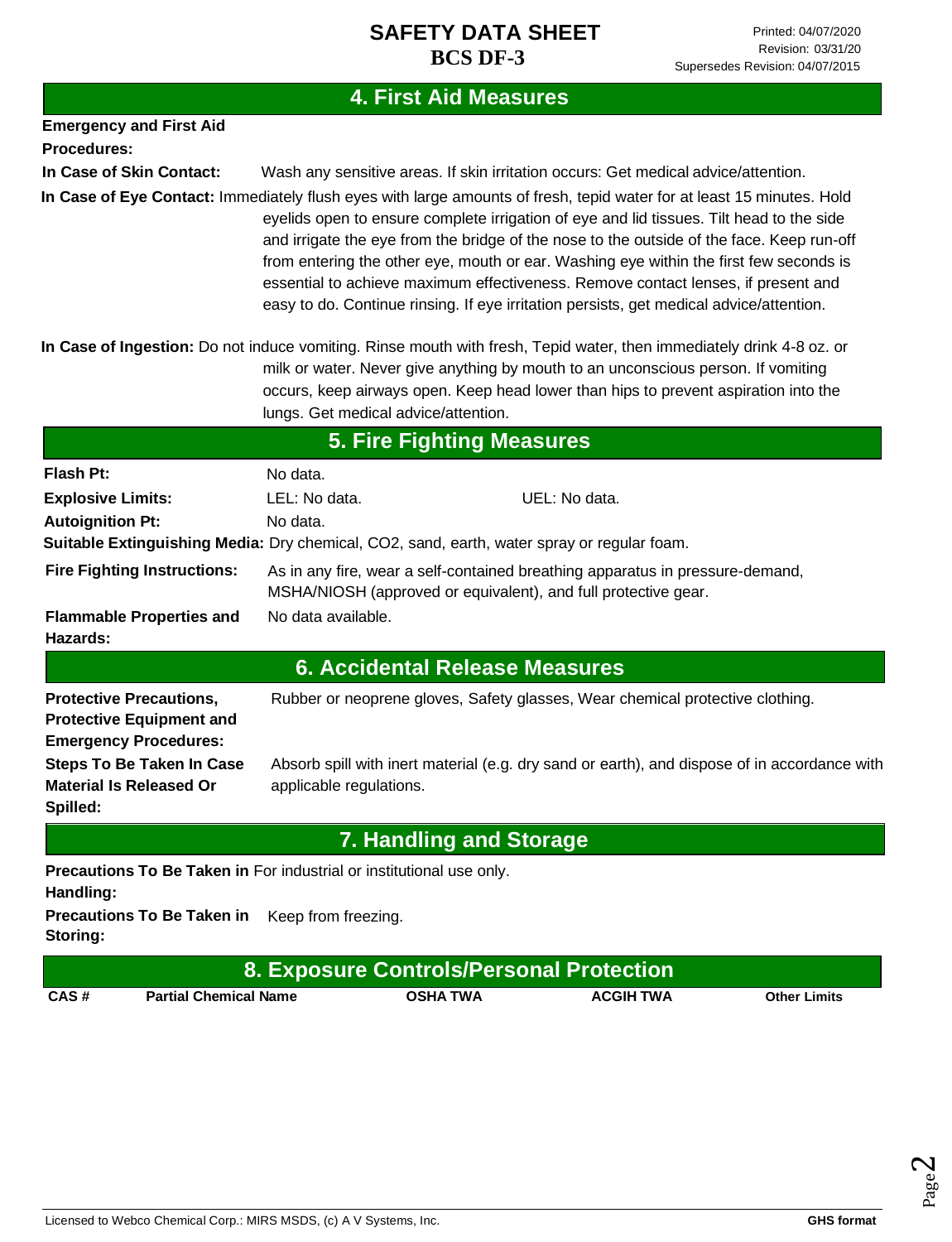# **4. First Aid Measures**

| <b>Emergency and First Aid</b>                                                                    |                                                                                                                                                                                                                                                                                                                                                                                                                                                                                                                                                                                          |  |  |  |
|---------------------------------------------------------------------------------------------------|------------------------------------------------------------------------------------------------------------------------------------------------------------------------------------------------------------------------------------------------------------------------------------------------------------------------------------------------------------------------------------------------------------------------------------------------------------------------------------------------------------------------------------------------------------------------------------------|--|--|--|
| Procedures:                                                                                       |                                                                                                                                                                                                                                                                                                                                                                                                                                                                                                                                                                                          |  |  |  |
| In Case of Skin Contact:                                                                          | Wash any sensitive areas. If skin irritation occurs: Get medical advice/attention.                                                                                                                                                                                                                                                                                                                                                                                                                                                                                                       |  |  |  |
|                                                                                                   | In Case of Eye Contact: Immediately flush eyes with large amounts of fresh, tepid water for at least 15 minutes. Hold<br>eyelids open to ensure complete irrigation of eye and lid tissues. Tilt head to the side<br>and irrigate the eye from the bridge of the nose to the outside of the face. Keep run-off<br>from entering the other eye, mouth or ear. Washing eye within the first few seconds is<br>essential to achieve maximum effectiveness. Remove contact lenses, if present and<br>easy to do. Continue rinsing. If eye irritation persists, get medical advice/attention. |  |  |  |
|                                                                                                   | In Case of Ingestion: Do not induce vomiting. Rinse mouth with fresh, Tepid water, then immediately drink 4-8 oz. or<br>milk or water. Never give anything by mouth to an unconscious person. If vomiting<br>occurs, keep airways open. Keep head lower than hips to prevent aspiration into the<br>lungs. Get medical advice/attention.                                                                                                                                                                                                                                                 |  |  |  |
|                                                                                                   | <b>5. Fire Fighting Measures</b>                                                                                                                                                                                                                                                                                                                                                                                                                                                                                                                                                         |  |  |  |
| <b>Flash Pt:</b>                                                                                  | No data.                                                                                                                                                                                                                                                                                                                                                                                                                                                                                                                                                                                 |  |  |  |
| <b>Explosive Limits:</b>                                                                          | LEL: No data.<br>UEL: No data.                                                                                                                                                                                                                                                                                                                                                                                                                                                                                                                                                           |  |  |  |
| <b>Autoignition Pt:</b>                                                                           | No data.<br>Suitable Extinguishing Media: Dry chemical, CO2, sand, earth, water spray or regular foam.                                                                                                                                                                                                                                                                                                                                                                                                                                                                                   |  |  |  |
| <b>Fire Fighting Instructions:</b>                                                                | As in any fire, wear a self-contained breathing apparatus in pressure-demand,<br>MSHA/NIOSH (approved or equivalent), and full protective gear.                                                                                                                                                                                                                                                                                                                                                                                                                                          |  |  |  |
| <b>Flammable Properties and</b><br>Hazards:                                                       | No data available.                                                                                                                                                                                                                                                                                                                                                                                                                                                                                                                                                                       |  |  |  |
|                                                                                                   | <b>6. Accidental Release Measures</b>                                                                                                                                                                                                                                                                                                                                                                                                                                                                                                                                                    |  |  |  |
| <b>Protective Precautions,</b><br><b>Protective Equipment and</b><br><b>Emergency Procedures:</b> | Rubber or neoprene gloves, Safety glasses, Wear chemical protective clothing.                                                                                                                                                                                                                                                                                                                                                                                                                                                                                                            |  |  |  |
| <b>Steps To Be Taken In Case</b><br><b>Material Is Released Or</b><br>Spilled:                    | Absorb spill with inert material (e.g. dry sand or earth), and dispose of in accordance with<br>applicable regulations.                                                                                                                                                                                                                                                                                                                                                                                                                                                                  |  |  |  |
|                                                                                                   | <b>7. Handling and Storage</b>                                                                                                                                                                                                                                                                                                                                                                                                                                                                                                                                                           |  |  |  |
| Handling:                                                                                         | Precautions To Be Taken in For industrial or institutional use only.                                                                                                                                                                                                                                                                                                                                                                                                                                                                                                                     |  |  |  |
| <b>Precautions To Be Taken in</b><br>Storing:                                                     | Keep from freezing.                                                                                                                                                                                                                                                                                                                                                                                                                                                                                                                                                                      |  |  |  |
|                                                                                                   | 8. Exposure Controls/Personal Protection                                                                                                                                                                                                                                                                                                                                                                                                                                                                                                                                                 |  |  |  |

**CAS # Partial Chemical Name OSHA TWA ACGIH TWA Other Limits**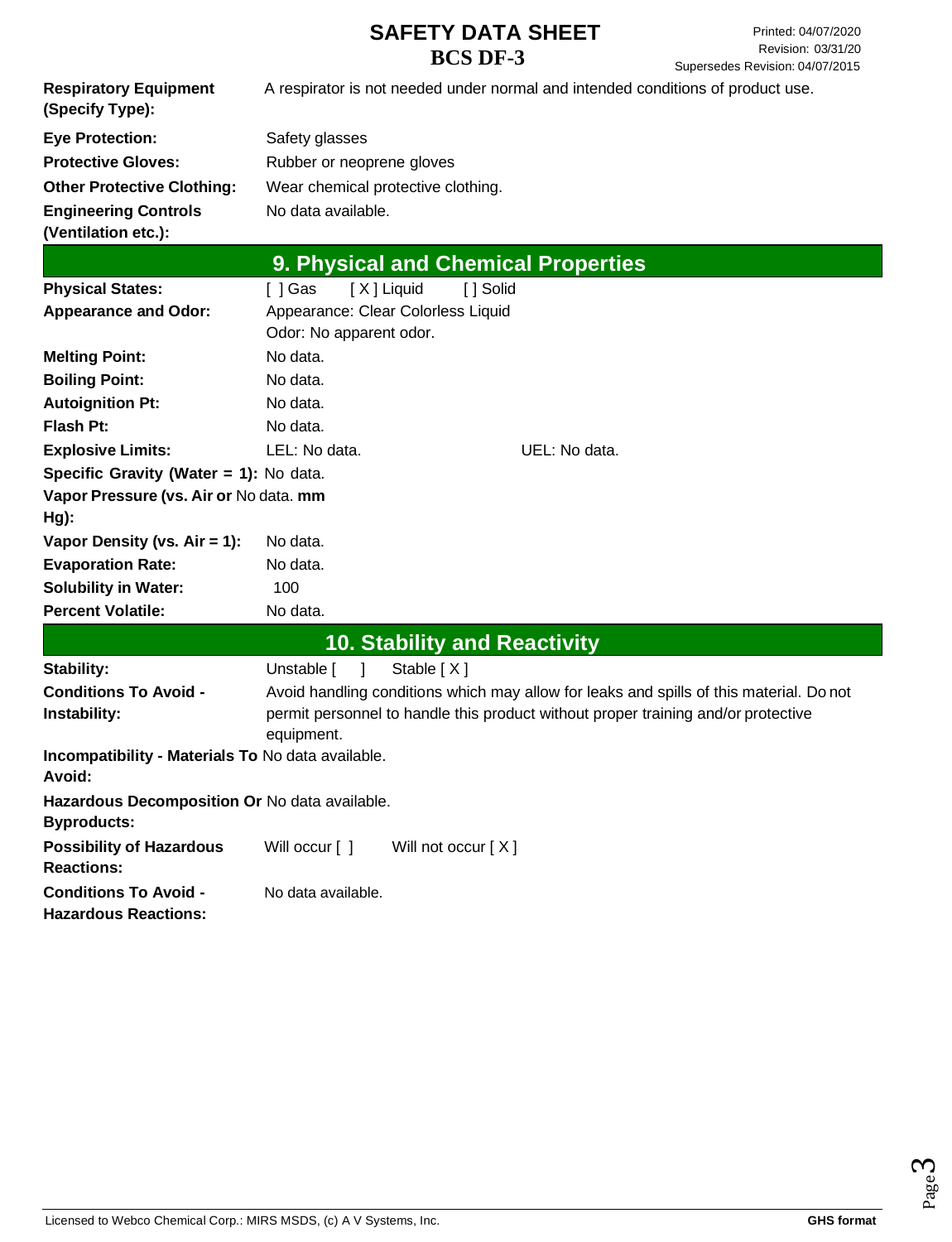|                                                                     |                                                                                 |                                     |                                     | Supersedes Revision: 04/07/2015                                                                                                                                              |
|---------------------------------------------------------------------|---------------------------------------------------------------------------------|-------------------------------------|-------------------------------------|------------------------------------------------------------------------------------------------------------------------------------------------------------------------------|
| <b>Respiratory Equipment</b><br>(Specify Type):                     | A respirator is not needed under normal and intended conditions of product use. |                                     |                                     |                                                                                                                                                                              |
| <b>Eye Protection:</b>                                              | Safety glasses                                                                  |                                     |                                     |                                                                                                                                                                              |
| <b>Protective Gloves:</b>                                           | Rubber or neoprene gloves                                                       |                                     |                                     |                                                                                                                                                                              |
| <b>Other Protective Clothing:</b>                                   |                                                                                 | Wear chemical protective clothing.  |                                     |                                                                                                                                                                              |
| <b>Engineering Controls</b><br>(Ventilation etc.):                  | No data available.                                                              |                                     |                                     |                                                                                                                                                                              |
|                                                                     |                                                                                 |                                     | 9. Physical and Chemical Properties |                                                                                                                                                                              |
| <b>Physical States:</b>                                             | [ ] Gas                                                                         | [X] Liquid<br>[ ] Solid             |                                     |                                                                                                                                                                              |
| <b>Appearance and Odor:</b>                                         | Odor: No apparent odor.                                                         | Appearance: Clear Colorless Liquid  |                                     |                                                                                                                                                                              |
| <b>Melting Point:</b>                                               | No data.                                                                        |                                     |                                     |                                                                                                                                                                              |
| <b>Boiling Point:</b>                                               | No data.                                                                        |                                     |                                     |                                                                                                                                                                              |
| <b>Autoignition Pt:</b>                                             | No data.                                                                        |                                     |                                     |                                                                                                                                                                              |
| <b>Flash Pt:</b>                                                    | No data.                                                                        |                                     |                                     |                                                                                                                                                                              |
| <b>Explosive Limits:</b>                                            | LEL: No data.                                                                   |                                     | UEL: No data.                       |                                                                                                                                                                              |
| Specific Gravity (Water = 1): No data.                              |                                                                                 |                                     |                                     |                                                                                                                                                                              |
| Vapor Pressure (vs. Air or No data. mm<br>Hg):                      |                                                                                 |                                     |                                     |                                                                                                                                                                              |
| Vapor Density (vs. $Air = 1$ ):                                     | No data.                                                                        |                                     |                                     |                                                                                                                                                                              |
| <b>Evaporation Rate:</b>                                            | No data.                                                                        |                                     |                                     |                                                                                                                                                                              |
| <b>Solubility in Water:</b>                                         | 100                                                                             |                                     |                                     |                                                                                                                                                                              |
| <b>Percent Volatile:</b>                                            | No data.                                                                        |                                     |                                     |                                                                                                                                                                              |
|                                                                     |                                                                                 | <b>10. Stability and Reactivity</b> |                                     |                                                                                                                                                                              |
| Stability:                                                          | Unstable [ ]                                                                    | Stable [X]                          |                                     |                                                                                                                                                                              |
| <b>Conditions To Avoid -</b><br>Instability:                        | equipment.                                                                      |                                     |                                     | Avoid handling conditions which may allow for leaks and spills of this material. Do not<br>permit personnel to handle this product without proper training and/or protective |
| Incompatibility - Materials To No data available.<br>Avoid:         |                                                                                 |                                     |                                     |                                                                                                                                                                              |
| Hazardous Decomposition Or No data available.<br><b>Byproducts:</b> |                                                                                 |                                     |                                     |                                                                                                                                                                              |
| <b>Possibility of Hazardous</b><br><b>Reactions:</b>                | Will occur [ ]                                                                  | Will not occur $[X]$                |                                     |                                                                                                                                                                              |
| <b>Conditions To Avoid -</b><br><b>Hazardous Reactions:</b>         | No data available.                                                              |                                     |                                     |                                                                                                                                                                              |